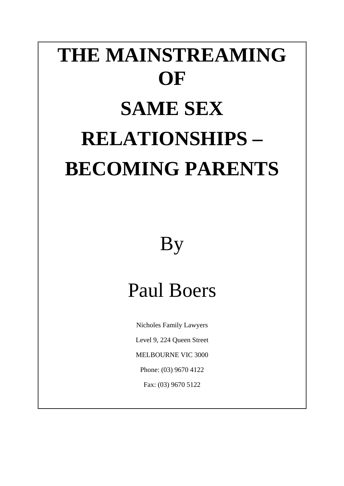# **THE MAINSTREAMING OF SAME SEX RELATIONSHIPS – BECOMING PARENTS**

## By

## Paul Boers

Nicholes Family Lawyers Level 9, 224 Queen Street MELBOURNE VIC 3000 Phone: (03) 9670 4122 Fax: (03) 9670 5122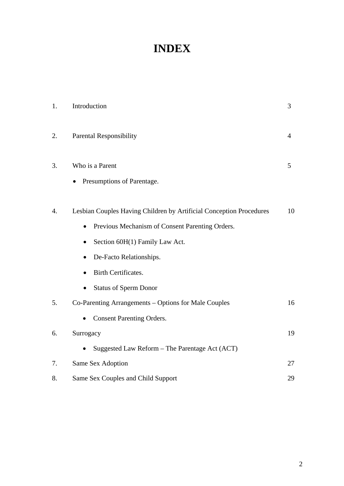### **INDEX**

| 1.               | Introduction                                                                                                                                                                                                                 | 3              |
|------------------|------------------------------------------------------------------------------------------------------------------------------------------------------------------------------------------------------------------------------|----------------|
| 2.               | <b>Parental Responsibility</b>                                                                                                                                                                                               | $\overline{4}$ |
| 3.               | Who is a Parent<br>Presumptions of Parentage.<br>$\bullet$                                                                                                                                                                   | 5              |
| $\overline{4}$ . | Lesbian Couples Having Children by Artificial Conception Procedures<br>Previous Mechanism of Consent Parenting Orders.<br>Section 60H(1) Family Law Act.<br>٠<br>De-Facto Relationships.<br>$\bullet$<br>Birth Certificates. | 10             |
|                  | <b>Status of Sperm Donor</b>                                                                                                                                                                                                 |                |
| 5.               | Co-Parenting Arrangements – Options for Male Couples<br><b>Consent Parenting Orders.</b>                                                                                                                                     | 16             |
| 6.               | Surrogacy                                                                                                                                                                                                                    | 19             |
|                  | Suggested Law Reform - The Parentage Act (ACT)                                                                                                                                                                               |                |
| 7.               | Same Sex Adoption                                                                                                                                                                                                            | 27             |
| 8.               | Same Sex Couples and Child Support                                                                                                                                                                                           | 29             |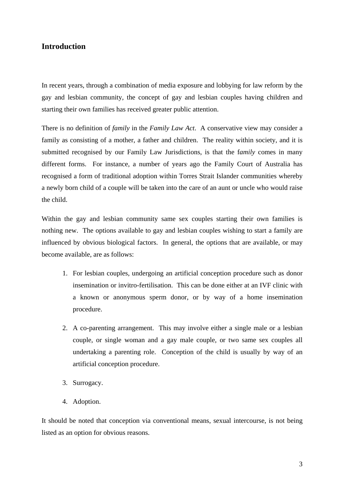#### **Introduction**

In recent years, through a combination of media exposure and lobbying for law reform by the gay and lesbian community, the concept of gay and lesbian couples having children and starting their own families has received greater public attention.

There is no definition of *family* in the *Family Law Act*. A conservative view may consider a family as consisting of a mother, a father and children. The reality within society, and it is submitted recognised by our Family Law Jurisdictions, is that the f*amily* comes in many different forms. For instance, a number of years ago the Family Court of Australia has recognised a form of traditional adoption within Torres Strait Islander communities whereby a newly born child of a couple will be taken into the care of an aunt or uncle who would raise the child.

Within the gay and lesbian community same sex couples starting their own families is nothing new. The options available to gay and lesbian couples wishing to start a family are influenced by obvious biological factors. In general, the options that are available, or may become available, are as follows:

- 1. For lesbian couples, undergoing an artificial conception procedure such as donor insemination or invitro-fertilisation. This can be done either at an IVF clinic with a known or anonymous sperm donor, or by way of a home insemination procedure.
- 2. A co-parenting arrangement. This may involve either a single male or a lesbian couple, or single woman and a gay male couple, or two same sex couples all undertaking a parenting role. Conception of the child is usually by way of an artificial conception procedure.
- 3. Surrogacy.
- 4. Adoption.

It should be noted that conception via conventional means, sexual intercourse, is not being listed as an option for obvious reasons.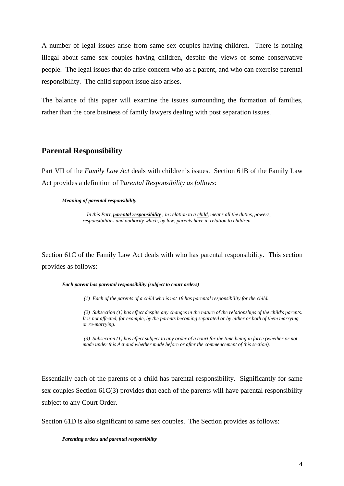A number of legal issues arise from same sex couples having children. There is nothing illegal about same sex couples having children, despite the views of some conservative people. The legal issues that do arise concern who as a parent, and who can exercise parental responsibility. The child support issue also arises.

The balance of this paper will examine the issues surrounding the formation of families, rather than the core business of family lawyers dealing with post separation issues.

#### **Parental Responsibility**

Part VII of the *Family Law Act* deals with children's issues. Section 61B of the Family Law Act provides a definition of P*arental Responsibility as follows*:

#### *Meaning of parental responsibility*

*In this Part, parental responsibility , in relation to a child, means all the duties, powers, responsibilities and authority which, by law, parents have in relation to children.* 

Section 61C of the Family Law Act deals with who has parental responsibility. This section provides as follows:

#### *Each parent has parental responsibility (subject to court orders)*

 *(1) Each of the parents of a child who is not 18 has parental responsibility for the child.* 

 *(2) Subsection (1) has effect despite any changes in the nature of the relationships of the child's parents. It is not affected, for example, by the parents becoming separated or by either or both of them marrying or re-marrying.* 

*(3) Subsection (1) has effect subject to any order of a court for the time being in force (whether or not made under this Act and whether made before or after the commencement of this section).* 

Essentially each of the parents of a child has parental responsibility. Significantly for same sex couples Section 61C(3) provides that each of the parents will have parental responsibility subject to any Court Order.

Section 61D is also significant to same sex couples. The Section provides as follows:

#### *Parenting orders and parental responsibility*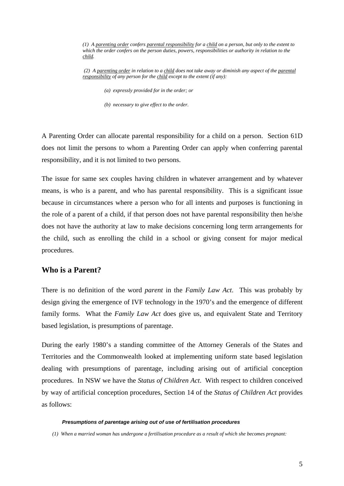*(1) A parenting order confers parental responsibility for a child on a person, but only to the extent to which the order confers on the person duties, powers, responsibilities or authority in relation to the child.* 

*(2) A parenting order in relation to a child does not take away or diminish any aspect of the parental responsibility of any person for the child except to the extent (if any):* 

 *(a) expressly provided for in the order; or* 

 *(b) necessary to give effect to the order.*

A Parenting Order can allocate parental responsibility for a child on a person. Section 61D does not limit the persons to whom a Parenting Order can apply when conferring parental responsibility, and it is not limited to two persons.

The issue for same sex couples having children in whatever arrangement and by whatever means, is who is a parent, and who has parental responsibility. This is a significant issue because in circumstances where a person who for all intents and purposes is functioning in the role of a parent of a child, if that person does not have parental responsibility then he/she does not have the authority at law to make decisions concerning long term arrangements for the child, such as enrolling the child in a school or giving consent for major medical procedures.

#### **Who is a Parent?**

There is no definition of the word *parent* in the *Family Law Act*. This was probably by design giving the emergence of IVF technology in the 1970's and the emergence of different family forms. What the *Family Law Act* does give us, and equivalent State and Territory based legislation, is presumptions of parentage.

During the early 1980's a standing committee of the Attorney Generals of the States and Territories and the Commonwealth looked at implementing uniform state based legislation dealing with presumptions of parentage, including arising out of artificial conception procedures. In NSW we have the *Status of Children Act*. With respect to children conceived by way of artificial conception procedures, Section 14 of the *Status of Children Act* provides as follows:

#### *Presumptions of parentage arising out of use of fertilisation procedures*

*(1) When a married woman has undergone a fertilisation procedure as a result of which she becomes pregnant:*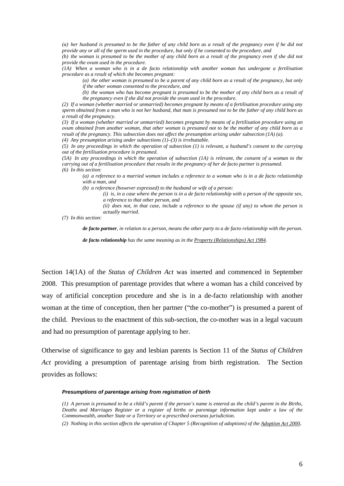*(a) her husband is presumed to be the father of any child born as a result of the pregnancy even if he did not provide any or all of the sperm used in the procedure, but only if he consented to the procedure, and* 

*(b) the woman is presumed to be the mother of any child born as a result of the pregnancy even if she did not provide the ovum used in the procedure.* 

*(1A) When a woman who is in a de facto relationship with another woman has undergone a fertilisation procedure as a result of which she becomes pregnant:* 

*(a) the other woman is presumed to be a parent of any child born as a result of the pregnancy, but only if the other woman consented to the procedure, and* 

*(b) the woman who has become pregnant is presumed to be the mother of any child born as a result of the pregnancy even if she did not provide the ovum used in the procedure.* 

*(2) If a woman (whether married or unmarried) becomes pregnant by means of a fertilisation procedure using any sperm obtained from a man who is not her husband, that man is presumed not to be the father of any child born as a result of the pregnancy.* 

*(3) If a woman (whether married or unmarried) becomes pregnant by means of a fertilisation procedure using an ovum obtained from another woman, that other woman is presumed not to be the mother of any child born as a result of the pregnancy. This subsection does not affect the presumption arising under subsection (1A) (a). (4) Any presumption arising under subsections (1)–(3) is irrebuttable.* 

*(5) In any proceedings in which the operation of subsection (1) is relevant, a husband's consent to the carrying out of the fertilisation procedure is presumed.* 

*(5A) In any proceedings in which the operation of subsection (1A) is relevant, the consent of a woman to the carrying out of a fertilisation procedure that results in the pregnancy of her de facto partner is presumed. (6) In this section:* 

*(a) a reference to a married woman includes a reference to a woman who is in a de facto relationship with a man, and* 

*(b) a reference (however expressed) to the husband or wife of a person:* 

*(i) is, in a case where the person is in a de facto relationship with a person of the opposite sex, a reference to that other person, and* 

*(ii) does not, in that case, include a reference to the spouse (if any) to whom the person is actually married.* 

*(7) In this section:* 

*de facto partner, in relation to a person, means the other party to a de facto relationship with the person.* 

*de facto relationship has the same meaning as in the Property (Relationships) Act 1984.* 

Section 14(1A) of the *Status of Children Act* was inserted and commenced in September 2008. This presumption of parentage provides that where a woman has a child conceived by way of artificial conception procedure and she is in a de-facto relationship with another woman at the time of conception, then her partner ("the co-mother") is presumed a parent of the child. Previous to the enactment of this sub-section, the co-mother was in a legal vacuum and had no presumption of parentage applying to her.

Otherwise of significance to gay and lesbian parents is Section 11 of the *Status of Children Act* providing a presumption of parentage arising from birth registration. The Section provides as follows:

#### *Presumptions of parentage arising from registration of birth*

*(1) A person is presumed to be a child's parent if the person's name is entered as the child's parent in the Births, Deaths and Marriages Register or a register of births or parentage information kept under a law of the Commonwealth, another State or a Territory or a prescribed overseas jurisdiction.* 

*(2) Nothing in this section affects the operation of Chapter 5 (Recognition of adoptions) of the Adoption Act 2000*.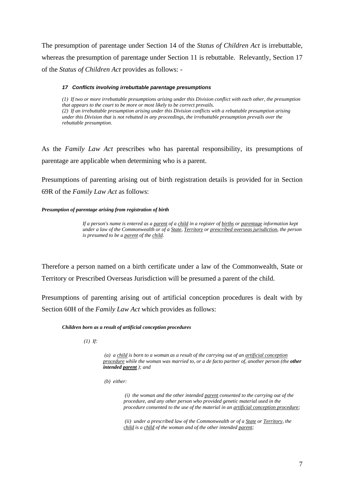The presumption of parentage under Section 14 of the *Status of Children Act* is irrebuttable, whereas the presumption of parentage under Section 11 is rebuttable. Relevantly, Section 17 of the *Status of Children Act* provides as follows: -

#### *17 Conflicts involving irrebuttable parentage presumptions*

*(1) If two or more irrebuttable presumptions arising under this Division conflict with each other, the presumption that appears to the court to be more or most likely to be correct prevails. (2) If an irrebuttable presumption arising under this Division conflicts with a rebuttable presumption arising under this Division that is not rebutted in any proceedings, the irrebuttable presumption prevails over the rebuttable presumption.* 

As the *Family Law Act* prescribes who has parental responsibility, its presumptions of parentage are applicable when determining who is a parent.

Presumptions of parenting arising out of birth registration details is provided for in Section 69R of the *Family Law Act* as follows:

#### *Presumption of parentage arising from registration of birth*

*If a person's name is entered as a parent of a child in a register of births or parentage information kept under a law of the Commonwealth or of a State, Territory or prescribed overseas jurisdiction, the person is presumed to be a parent of the child.*

Therefore a person named on a birth certificate under a law of the Commonwealth, State or Territory or Prescribed Overseas Jurisdiction will be presumed a parent of the child.

Presumptions of parenting arising out of artificial conception procedures is dealt with by Section 60H of the *Family Law Act* which provides as follows:

#### *Children born as a result of artificial conception procedures*

 *(1) If:* 

 *(a) a child is born to a woman as a result of the carrying out of an artificial conception procedure while the woman was married to, or a de facto partner of, another person (the other intended parent ); and* 

 *(b) either:* 

 *(i) the woman and the other intended parent consented to the carrying out of the procedure, and any other person who provided genetic material used in the procedure consented to the use of the material in an artificial conception procedure;* 

*(ii) under a prescribed law of the Commonwealth or of a State or Territory, the child is a child of the woman and of the other intended parent;*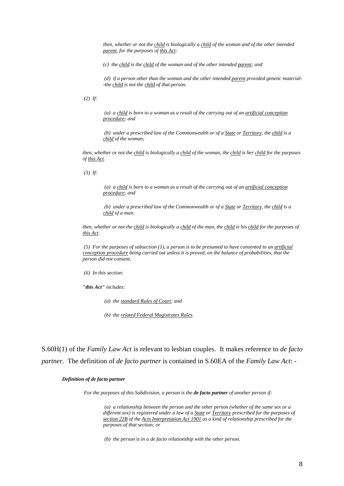*then, whether or not the child is biologically a child of the woman and of the other intended parent, for the purposes of this Act:* 

*(c) the child is the child of the woman and of the other intended parent; and* 

*(d) if a person other than the woman and the other intended parent provided genetic material- -the child is not the child of that person.* 

 *(2) If:* 

 *(a) a child is born to a woman as a result of the carrying out of an artificial conception procedure; and* 

*(b) under a prescribed law of the Commonwealth or of a State or Territory, the child is a child of the woman;* 

*then, whether or not the child is biologically a child of the woman, the child is her child for the purposes of this Act.* 

 *(3) If:* 

 *(a) a child is born to a woman as a result of the carrying out of an artificial conception procedure; and* 

*(b) under a prescribed law of the Commonwealth or of a State or Territory, the child is a child of a man;* 

*then, whether or not the child is biologically a child of the man, the child is his child for the purposes of this Act.* 

*(5) For the purposes of subsection (1), a person is to be presumed to have consented to an artificial conception procedure being carried out unless it is proved, on the balance of probabilities, that the person did not consent.* 

 *(6) In this section:* 

*"this Act" includes:* 

 *(a) the standard Rules of Court; and* 

 *(b) the related Federal Magistrates Rules.* 

S.60H(1) of the *Family Law Act* is relevant to lesbian couples. It makes reference to *de facto partner.* The definition of *de facto partner* is contained in S.60EA of the *Family Law Act*: -

#### *Definition of de facto partner*

 *For the purposes of this Subdivision, a person is the de facto partner of another person if:* 

 *(a) a relationship between the person and the other person (whether of the same sex or a different sex) is registered under a law of a State or Territory prescribed for the purposes of section 22B of the Acts Interpretation Act 1901 as a kind of relationship prescribed for the purposes of that section; or* 

 *(b) the person is in a de facto relationship with the other person.*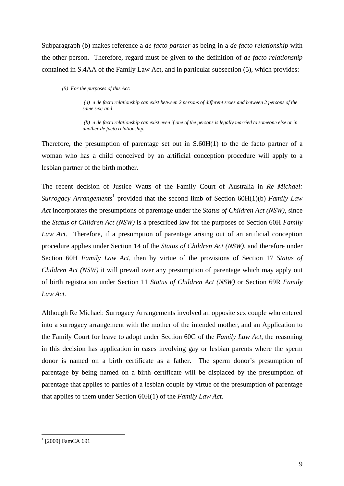Subparagraph (b) makes reference a *de facto partner* as being in a *de facto relationship* with the other person. Therefore, regard must be given to the definition of *de facto relationship* contained in S.4AA of the Family Law Act, and in particular subsection (5), which provides:

*(5) For the purposes of this Act:* 

*(a) a de facto relationship can exist between 2 persons of different sexes and between 2 persons of the same sex; and* 

*(b) a de facto relationship can exist even if one of the persons is legally married to someone else or in another de facto relationship.* 

Therefore, the presumption of parentage set out in S.60H(1) to the de facto partner of a woman who has a child conceived by an artificial conception procedure will apply to a lesbian partner of the birth mother.

The recent decision of Justice Watts of the Family Court of Australia in *Re Michael:*  Surrogacy Arrangements<sup>1</sup> provided that the second limb of Section 60H(1)(b) *Family Law Act* incorporates the presumptions of parentage under the *Status of Children Act (NSW),* since the *Status of Children Act (NSW)* is a prescribed law for the purposes of Section 60H *Family*  Law Act. Therefore, if a presumption of parentage arising out of an artificial conception procedure applies under Section 14 of the *Status of Children Act (NSW)*, and therefore under Section 60H *Family Law Act*, then by virtue of the provisions of Section 17 *Status of Children Act (NSW)* it will prevail over any presumption of parentage which may apply out of birth registration under Section 11 *Status of Children Act (NSW)* or Section 69R *Family Law Act.* 

Although Re Michael: Surrogacy Arrangements involved an opposite sex couple who entered into a surrogacy arrangement with the mother of the intended mother, and an Application to the Family Court for leave to adopt under Section 60G of the *Family Law Act*, the reasoning in this decision has application in cases involving gay or lesbian parents where the sperm donor is named on a birth certificate as a father. The sperm donor's presumption of parentage by being named on a birth certificate will be displaced by the presumption of parentage that applies to parties of a lesbian couple by virtue of the presumption of parentage that applies to them under Section 60H(1) of the *Family Law Act*.

<sup>&</sup>lt;sup>1</sup> [2009] FamCA 691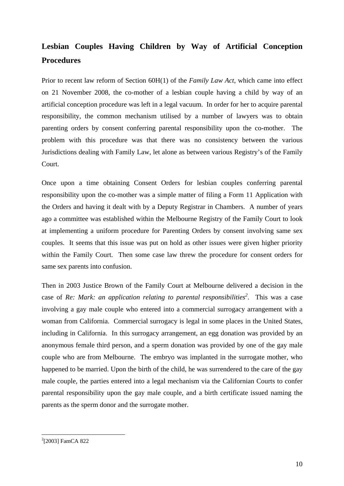### **Lesbian Couples Having Children by Way of Artificial Conception Procedures**

Prior to recent law reform of Section 60H(1) of the *Family Law Act*, which came into effect on 21 November 2008, the co-mother of a lesbian couple having a child by way of an artificial conception procedure was left in a legal vacuum. In order for her to acquire parental responsibility, the common mechanism utilised by a number of lawyers was to obtain parenting orders by consent conferring parental responsibility upon the co-mother. The problem with this procedure was that there was no consistency between the various Jurisdictions dealing with Family Law, let alone as between various Registry's of the Family Court.

Once upon a time obtaining Consent Orders for lesbian couples conferring parental responsibility upon the co-mother was a simple matter of filing a Form 11 Application with the Orders and having it dealt with by a Deputy Registrar in Chambers. A number of years ago a committee was established within the Melbourne Registry of the Family Court to look at implementing a uniform procedure for Parenting Orders by consent involving same sex couples. It seems that this issue was put on hold as other issues were given higher priority within the Family Court. Then some case law threw the procedure for consent orders for same sex parents into confusion.

Then in 2003 Justice Brown of the Family Court at Melbourne delivered a decision in the case of *Re: Mark: an application relating to parental responsibilities*<sup>2</sup>. This was a case involving a gay male couple who entered into a commercial surrogacy arrangement with a woman from California. Commercial surrogacy is legal in some places in the United States, including in California. In this surrogacy arrangement, an egg donation was provided by an anonymous female third person, and a sperm donation was provided by one of the gay male couple who are from Melbourne. The embryo was implanted in the surrogate mother, who happened to be married. Upon the birth of the child, he was surrendered to the care of the gay male couple, the parties entered into a legal mechanism via the Californian Courts to confer parental responsibility upon the gay male couple, and a birth certificate issued naming the parents as the sperm donor and the surrogate mother.

<sup>2</sup> [2003] FamCA 822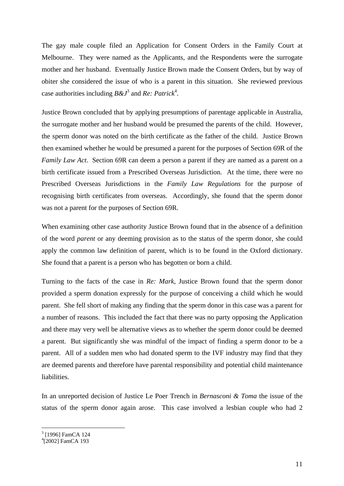The gay male couple filed an Application for Consent Orders in the Family Court at Melbourne. They were named as the Applicants, and the Respondents were the surrogate mother and her husband. Eventually Justice Brown made the Consent Orders, but by way of obiter she considered the issue of who is a parent in this situation. She reviewed previous case authorities including  $B\&J^3$  and  $Re$ : Patrick<sup>4</sup>.

Justice Brown concluded that by applying presumptions of parentage applicable in Australia, the surrogate mother and her husband would be presumed the parents of the child. However, the sperm donor was noted on the birth certificate as the father of the child. Justice Brown then examined whether he would be presumed a parent for the purposes of Section 69R of the *Family Law Act*. Section 69R can deem a person a parent if they are named as a parent on a birth certificate issued from a Prescribed Overseas Jurisdiction. At the time, there were no Prescribed Overseas Jurisdictions in the *Family Law Regulations* for the purpose of recognising birth certificates from overseas. Accordingly, she found that the sperm donor was not a parent for the purposes of Section 69R.

When examining other case authority Justice Brown found that in the absence of a definition of the word *parent* or any deeming provision as to the status of the sperm donor, she could apply the common law definition of parent, which is to be found in the Oxford dictionary. She found that a parent is a person who has begotten or born a child.

Turning to the facts of the case in *Re: Mark*, Justice Brown found that the sperm donor provided a sperm donation expressly for the purpose of conceiving a child which he would parent. She fell short of making any finding that the sperm donor in this case was a parent for a number of reasons. This included the fact that there was no party opposing the Application and there may very well be alternative views as to whether the sperm donor could be deemed a parent. But significantly she was mindful of the impact of finding a sperm donor to be a parent. All of a sudden men who had donated sperm to the IVF industry may find that they are deemed parents and therefore have parental responsibility and potential child maintenance liabilities.

In an unreported decision of Justice Le Poer Trench in *Bernasconi & Toma* the issue of the status of the sperm donor again arose. This case involved a lesbian couple who had 2

<sup>&</sup>lt;sup>3</sup> [1996] FamCA 124

<sup>4</sup> [2002] FamCA 193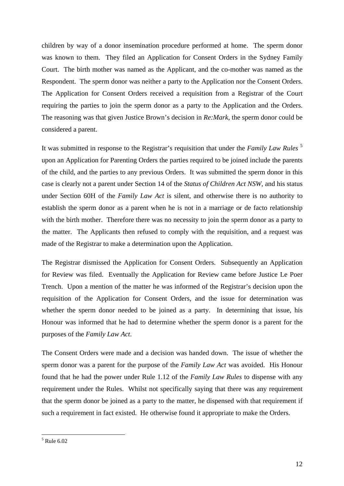children by way of a donor insemination procedure performed at home. The sperm donor was known to them. They filed an Application for Consent Orders in the Sydney Family Court. The birth mother was named as the Applicant, and the co-mother was named as the Respondent. The sperm donor was neither a party to the Application nor the Consent Orders. The Application for Consent Orders received a requisition from a Registrar of the Court requiring the parties to join the sperm donor as a party to the Application and the Orders. The reasoning was that given Justice Brown's decision in *Re:Mark*, the sperm donor could be considered a parent.

It was submitted in response to the Registrar's requisition that under the *Family Law Rules* <sup>5</sup> upon an Application for Parenting Orders the parties required to be joined include the parents of the child, and the parties to any previous Orders. It was submitted the sperm donor in this case is clearly not a parent under Section 14 of the *Status of Children Act NSW*, and his status under Section 60H of the *Family Law Act* is silent, and otherwise there is no authority to establish the sperm donor as a parent when he is not in a marriage or de facto relationship with the birth mother. Therefore there was no necessity to join the sperm donor as a party to the matter. The Applicants then refused to comply with the requisition, and a request was made of the Registrar to make a determination upon the Application.

The Registrar dismissed the Application for Consent Orders. Subsequently an Application for Review was filed. Eventually the Application for Review came before Justice Le Poer Trench. Upon a mention of the matter he was informed of the Registrar's decision upon the requisition of the Application for Consent Orders, and the issue for determination was whether the sperm donor needed to be joined as a party. In determining that issue, his Honour was informed that he had to determine whether the sperm donor is a parent for the purposes of the *Family Law Act*.

The Consent Orders were made and a decision was handed down. The issue of whether the sperm donor was a parent for the purpose of the *Family Law Act* was avoided. His Honour found that he had the power under Rule 1.12 of the *Family Law Rules* to dispense with any requirement under the Rules. Whilst not specifically saying that there was any requirement that the sperm donor be joined as a party to the matter, he dispensed with that requirement if such a requirement in fact existed. He otherwise found it appropriate to make the Orders.

 5 Rule 6.02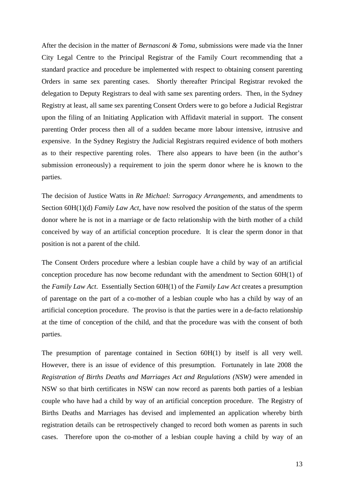After the decision in the matter of *Bernasconi & Toma*, submissions were made via the Inner City Legal Centre to the Principal Registrar of the Family Court recommending that a standard practice and procedure be implemented with respect to obtaining consent parenting Orders in same sex parenting cases. Shortly thereafter Principal Registrar revoked the delegation to Deputy Registrars to deal with same sex parenting orders. Then, in the Sydney Registry at least, all same sex parenting Consent Orders were to go before a Judicial Registrar upon the filing of an Initiating Application with Affidavit material in support. The consent parenting Order process then all of a sudden became more labour intensive, intrusive and expensive. In the Sydney Registry the Judicial Registrars required evidence of both mothers as to their respective parenting roles. There also appears to have been (in the author's submission erroneously) a requirement to join the sperm donor where he is known to the parties.

The decision of Justice Watts in *Re Michael: Surrogacy Arrangements,* and amendments to Section 60H(1)(d) *Family Law Act,* have now resolved the position of the status of the sperm donor where he is not in a marriage or de facto relationship with the birth mother of a child conceived by way of an artificial conception procedure. It is clear the sperm donor in that position is not a parent of the child.

The Consent Orders procedure where a lesbian couple have a child by way of an artificial conception procedure has now become redundant with the amendment to Section 60H(1) of the *Family Law Act*. Essentially Section 60H(1) of the *Family Law Act* creates a presumption of parentage on the part of a co-mother of a lesbian couple who has a child by way of an artificial conception procedure. The proviso is that the parties were in a de-facto relationship at the time of conception of the child, and that the procedure was with the consent of both parties.

The presumption of parentage contained in Section 60H(1) by itself is all very well. However, there is an issue of evidence of this presumption. Fortunately in late 2008 the *Registration of Births Deaths and Marriages Act and Regulations (NSW)* were amended in NSW so that birth certificates in NSW can now record as parents both parties of a lesbian couple who have had a child by way of an artificial conception procedure. The Registry of Births Deaths and Marriages has devised and implemented an application whereby birth registration details can be retrospectively changed to record both women as parents in such cases. Therefore upon the co-mother of a lesbian couple having a child by way of an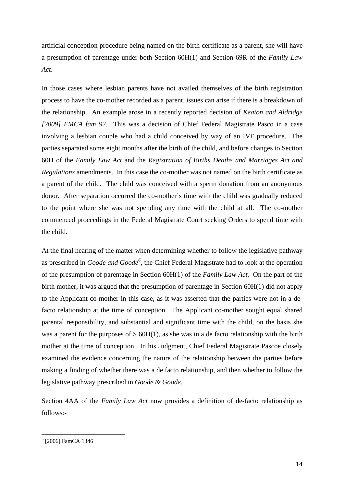artificial conception procedure being named on the birth certificate as a parent, she will have a presumption of parentage under both Section 60H(1) and Section 69R of the *Family Law Act*.

In those cases where lesbian parents have not availed themselves of the birth registration process to have the co-mother recorded as a parent, issues can arise if there is a breakdown of the relationship. An example arose in a recently reported decision of *Keaton and Aldridge [2009] FMCA fam 92.* This was a decision of Chief Federal Magistrate Pasco in a case involving a lesbian couple who had a child conceived by way of an IVF procedure. The parties separated some eight months after the birth of the child, and before changes to Section 60H of the *Family Law Act* and the *Registration of Births Deaths and Marriages Act and Regulations* amendments. In this case the co-mother was not named on the birth certificate as a parent of the child. The child was conceived with a sperm donation from an anonymous donor. After separation occurred the co-mother's time with the child was gradually reduced to the point where she was not spending any time with the child at all. The co-mother commenced proceedings in the Federal Magistrate Court seeking Orders to spend time with the child.

At the final hearing of the matter when determining whether to follow the legislative pathway as prescribed in *Goode and Goode<sup>6</sup>* , the Chief Federal Magistrate had to look at the operation of the presumption of parentage in Section 60H(1) of the *Family Law Act*. On the part of the birth mother, it was argued that the presumption of parentage in Section 60H(1) did not apply to the Applicant co-mother in this case, as it was asserted that the parties were not in a defacto relationship at the time of conception. The Applicant co-mother sought equal shared parental responsibility, and substantial and significant time with the child, on the basis she was a parent for the purposes of S.60H(1), as she was in a de facto relationship with the birth mother at the time of conception. In his Judgment, Chief Federal Magistrate Pascoe closely examined the evidence concerning the nature of the relationship between the parties before making a finding of whether there was a de facto relationship, and then whether to follow the legislative pathway prescribed in *Goode & Goode*.

Section 4AA of the *Family Law Act* now provides a definition of de-facto relationship as follows:-

<sup>6</sup> [2006] FamCA 1346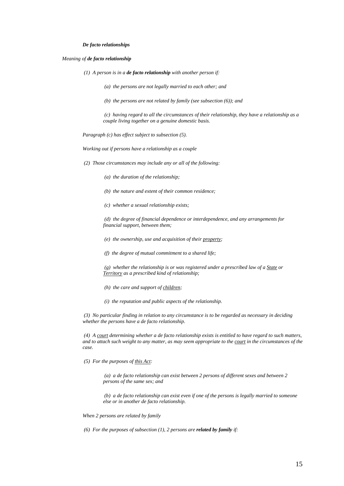#### *De facto relationships*

#### *Meaning of de facto relationship*

 *(1) A person is in a de facto relationship with another person if:* 

 *(a) the persons are not legally married to each other; and* 

 *(b) the persons are not related by family (see subsection (6)); and* 

 *(c) having regard to all the circumstances of their relationship, they have a relationship as a couple living together on a genuine domestic basis.* 

*Paragraph (c) has effect subject to subsection (5).* 

*Working out if persons have a relationship as a couple* 

 *(2) Those circumstances may include any or all of the following:* 

 *(a) the duration of the relationship;* 

 *(b) the nature and extent of their common residence;* 

 *(c) whether a sexual relationship exists;* 

 *(d) the degree of financial dependence or interdependence, and any arrangements for financial support, between them;* 

 *(e) the ownership, use and acquisition of their property;* 

 *(f) the degree of mutual commitment to a shared life;* 

 *(g) whether the relationship is or was registered under a prescribed law of a State or Territory as a prescribed kind of relationship;* 

 *(h) the care and support of children;* 

 *(i) the reputation and public aspects of the relationship.* 

 *(3) No particular finding in relation to any circumstance is to be regarded as necessary in deciding whether the persons have a de facto relationship.* 

*(4) A court determining whether a de facto relationship exists is entitled to have regard to such matters, and to attach such weight to any matter, as may seem appropriate to the court in the circumstances of the case.* 

 *(5) For the purposes of this Act:* 

 *(a) a de facto relationship can exist between 2 persons of different sexes and between 2 persons of the same sex; and* 

*(b) a de facto relationship can exist even if one of the persons is legally married to someone else or in another de facto relationship.* 

*When 2 persons are related by family* 

 *(6) For the purposes of subsection (1), 2 persons are related by family if:*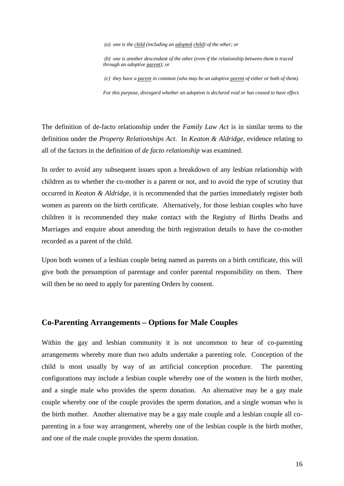*(a) one is the child (including an adopted child) of the other; or* 

 *(b) one is another descendant of the other (even if the relationship between them is traced through an adoptive parent); or* 

 *(c) they have a parent in common (who may be an adoptive parent of either or both of them).* 

*For this purpose, disregard whether an adoption is declared void or has ceased to have effect.* 

The definition of de-facto relationship under the *Family Law Act* is in similar terms to the definition under the *Property Relationships Act*. In *Keaton & Aldridge*, evidence relating to all of the factors in the definition of *de facto relationship* was examined.

In order to avoid any subsequent issues upon a breakdown of any lesbian relationship with children as to whether the co-mother is a parent or not, and to avoid the type of scrutiny that occurred in *Keaton & Aldridge*, it is recommended that the parties immediately register both women as parents on the birth certificate. Alternatively, for those lesbian couples who have children it is recommended they make contact with the Registry of Births Deaths and Marriages and enquire about amending the birth registration details to have the co-mother recorded as a parent of the child.

Upon both women of a lesbian couple being named as parents on a birth certificate, this will give both the presumption of parentage and confer parental responsibility on them. There will then be no need to apply for parenting Orders by consent.

#### **Co-Parenting Arrangements – Options for Male Couples**

Within the gay and lesbian community it is not uncommon to hear of co-parenting arrangements whereby more than two adults undertake a parenting role. Conception of the child is most usually by way of an artificial conception procedure. The parenting configurations may include a lesbian couple whereby one of the women is the birth mother, and a single male who provides the sperm donation. An alternative may be a gay male couple whereby one of the couple provides the sperm donation, and a single woman who is the birth mother. Another alternative may be a gay male couple and a lesbian couple all coparenting in a four way arrangement, whereby one of the lesbian couple is the birth mother, and one of the male couple provides the sperm donation.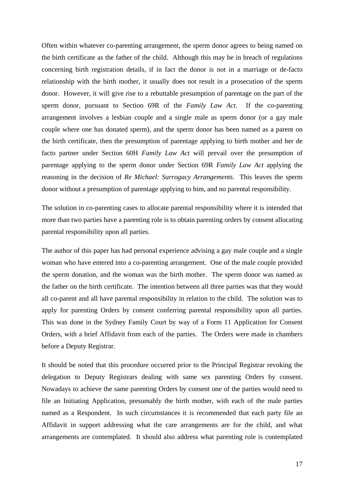Often within whatever co-parenting arrangement, the sperm donor agrees to being named on the birth certificate as the father of the child. Although this may be in breach of regulations concerning birth registration details, if in fact the donor is not in a marriage or de-facto relationship with the birth mother, it usually does not result in a prosecution of the sperm donor. However, it will give rise to a rebuttable presumption of parentage on the part of the sperm donor, pursuant to Section 69R of the *Family Law Act*. If the co-parenting arrangement involves a lesbian couple and a single male as sperm donor (or a gay male couple where one has donated sperm), and the sperm donor has been named as a parent on the birth certificate, then the presumption of parentage applying to birth mother and her de facto partner under Section 60H *Family Law Act* will prevail over the presumption of parentage applying to the sperm donor under Section 69R *Family Law Act* applying the reasoning in the decision of *Re Michael: Surrogacy Arrangements*. This leaves the sperm donor without a presumption of parentage applying to him, and no parental responsibility.

The solution in co-parenting cases to allocate parental responsibility where it is intended that more than two parties have a parenting role is to obtain parenting orders by consent allocating parental responsibility upon all parties.

The author of this paper has had personal experience advising a gay male couple and a single woman who have entered into a co-parenting arrangement. One of the male couple provided the sperm donation, and the woman was the birth mother. The sperm donor was named as the father on the birth certificate. The intention between all three parties was that they would all co-parent and all have parental responsibility in relation to the child. The solution was to apply for parenting Orders by consent conferring parental responsibility upon all parties. This was done in the Sydney Family Court by way of a Form 11 Application for Consent Orders, with a brief Affidavit from each of the parties. The Orders were made in chambers before a Deputy Registrar.

It should be noted that this procedure occurred prior to the Principal Registrar revoking the delegation to Deputy Registrars dealing with same sex parenting Orders by consent. Nowadays to achieve the same parenting Orders by consent one of the parties would need to file an Initiating Application, presumably the birth mother, with each of the male parties named as a Respondent. In such circumstances it is recommended that each party file an Affidavit in support addressing what the care arrangements are for the child, and what arrangements are contemplated. It should also address what parenting role is contemplated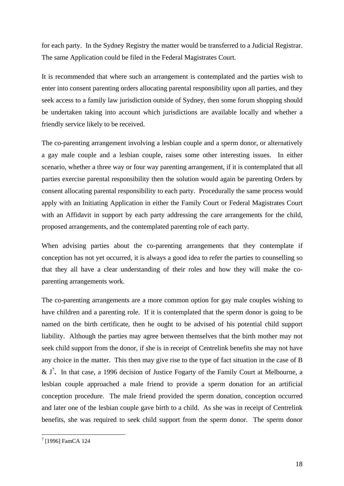for each party. In the Sydney Registry the matter would be transferred to a Judicial Registrar. The same Application could be filed in the Federal Magistrates Court.

It is recommended that where such an arrangement is contemplated and the parties wish to enter into consent parenting orders allocating parental responsibility upon all parties, and they seek access to a family law jurisdiction outside of Sydney, then some forum shopping should be undertaken taking into account which jurisdictions are available locally and whether a friendly service likely to be received.

The co-parenting arrangement involving a lesbian couple and a sperm donor, or alternatively a gay male couple and a lesbian couple, raises some other interesting issues. In either scenario, whether a three way or four way parenting arrangement, if it is contemplated that all parties exercise parental responsibility then the solution would again be parenting Orders by consent allocating parental responsibility to each party. Procedurally the same process would apply with an Initiating Application in either the Family Court or Federal Magistrates Court with an Affidavit in support by each party addressing the care arrangements for the child, proposed arrangements, and the contemplated parenting role of each party.

When advising parties about the co-parenting arrangements that they contemplate if conception has not yet occurred, it is always a good idea to refer the parties to counselling so that they all have a clear understanding of their roles and how they will make the coparenting arrangements work.

The co-parenting arrangements are a more common option for gay male couples wishing to have children and a parenting role. If it is contemplated that the sperm donor is going to be named on the birth certificate, then he ought to be advised of his potential child support liability. Although the parties may agree between themselves that the birth mother may not seek child support from the donor, if she is in receipt of Centrelink benefits she may not have any choice in the matter. This then may give rise to the type of fact situation in the case of B  $& \mathcal{S}$  J<sup>7</sup>. In that case, a 1996 decision of Justice Fogarty of the Family Court at Melbourne, a lesbian couple approached a male friend to provide a sperm donation for an artificial conception procedure. The male friend provided the sperm donation, conception occurred and later one of the lesbian couple gave birth to a child. As she was in receipt of Centrelink benefits, she was required to seek child support from the sperm donor. The sperm donor

<sup>&</sup>lt;sup>7</sup> [1996] FamCA 124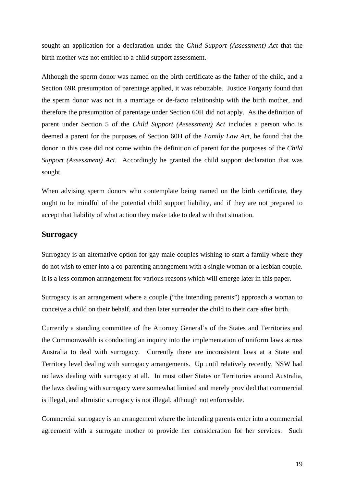sought an application for a declaration under the *Child Support (Assessment) Act* that the birth mother was not entitled to a child support assessment.

Although the sperm donor was named on the birth certificate as the father of the child, and a Section 69R presumption of parentage applied, it was rebuttable. Justice Forgarty found that the sperm donor was not in a marriage or de-facto relationship with the birth mother, and therefore the presumption of parentage under Section 60H did not apply. As the definition of parent under Section 5 of the *Child Support (Assessment) Act* includes a person who is deemed a parent for the purposes of Section 60H of the *Family Law Act*, he found that the donor in this case did not come within the definition of parent for the purposes of the *Child Support (Assessment) Act.* Accordingly he granted the child support declaration that was sought.

When advising sperm donors who contemplate being named on the birth certificate, they ought to be mindful of the potential child support liability, and if they are not prepared to accept that liability of what action they make take to deal with that situation.

#### **Surrogacy**

Surrogacy is an alternative option for gay male couples wishing to start a family where they do not wish to enter into a co-parenting arrangement with a single woman or a lesbian couple. It is a less common arrangement for various reasons which will emerge later in this paper.

Surrogacy is an arrangement where a couple ("the intending parents") approach a woman to conceive a child on their behalf, and then later surrender the child to their care after birth.

Currently a standing committee of the Attorney General's of the States and Territories and the Commonwealth is conducting an inquiry into the implementation of uniform laws across Australia to deal with surrogacy. Currently there are inconsistent laws at a State and Territory level dealing with surrogacy arrangements. Up until relatively recently, NSW had no laws dealing with surrogacy at all. In most other States or Territories around Australia, the laws dealing with surrogacy were somewhat limited and merely provided that commercial is illegal, and altruistic surrogacy is not illegal, although not enforceable.

Commercial surrogacy is an arrangement where the intending parents enter into a commercial agreement with a surrogate mother to provide her consideration for her services. Such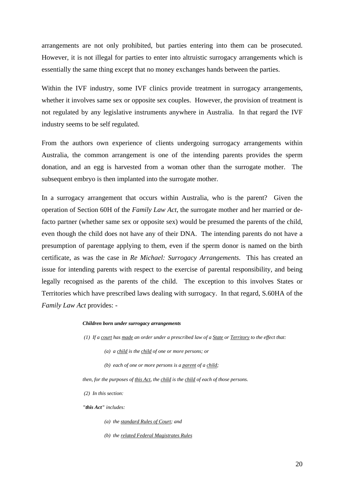arrangements are not only prohibited, but parties entering into them can be prosecuted. However, it is not illegal for parties to enter into altruistic surrogacy arrangements which is essentially the same thing except that no money exchanges hands between the parties.

Within the IVF industry, some IVF clinics provide treatment in surrogacy arrangements, whether it involves same sex or opposite sex couples. However, the provision of treatment is not regulated by any legislative instruments anywhere in Australia. In that regard the IVF industry seems to be self regulated.

From the authors own experience of clients undergoing surrogacy arrangements within Australia, the common arrangement is one of the intending parents provides the sperm donation, and an egg is harvested from a woman other than the surrogate mother. The subsequent embryo is then implanted into the surrogate mother.

In a surrogacy arrangement that occurs within Australia, who is the parent? Given the operation of Section 60H of the *Family Law Act*, the surrogate mother and her married or defacto partner (whether same sex or opposite sex) would be presumed the parents of the child, even though the child does not have any of their DNA. The intending parents do not have a presumption of parentage applying to them, even if the sperm donor is named on the birth certificate, as was the case in *Re Michael: Surrogacy Arrangements*. This has created an issue for intending parents with respect to the exercise of parental responsibility, and being legally recognised as the parents of the child. The exception to this involves States or Territories which have prescribed laws dealing with surrogacy. In that regard, S.60HA of the *Family Law Act* provides: -

#### *Children born under surrogacy arrangements*

 *(1) If a court has made an order under a prescribed law of a State or Territory to the effect that:* 

- *(a) a child is the child of one or more persons; or*
- *(b) each of one or more persons is a parent of a child;*

*then, for the purposes of this Act, the child is the child of each of those persons.* 

 *(2) In this section:* 

*"this Act" includes:* 

- *(a) the standard Rules of Court; and*
- *(b) the related Federal Magistrates Rules*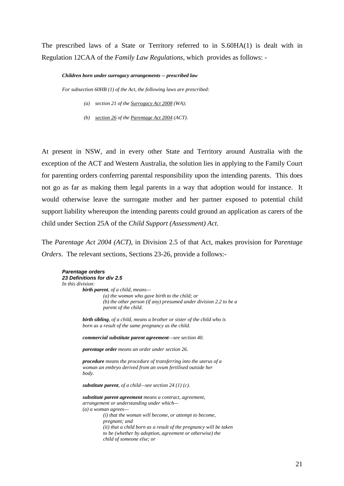The prescribed laws of a State or Territory referred to in S.60HA(1) is dealt with in Regulation 12CAA of the *Family Law Regulations,* which provides as follows: -

#### *Children born under surrogacy arrangements -- prescribed law*

*For subsection 60HB (1) of the Act, the following laws are prescribed:* 

- *(a) section 21 of the Surrogacy Act 2008 (WA);*
- *(b) section 26 of the Parentage Act 2004 (ACT).*

At present in NSW, and in every other State and Territory around Australia with the exception of the ACT and Western Australia, the solution lies in applying to the Family Court for parenting orders conferring parental responsibility upon the intending parents. This does not go as far as making them legal parents in a way that adoption would for instance. It would otherwise leave the surrogate mother and her partner exposed to potential child support liability whereupon the intending parents could ground an application as carers of the child under Section 25A of the *Child Support (Assessment) Act*.

The *Parentage Act 2004 (ACT),* in Division 2.5 of that Act, makes provision for P*arentage Orders*. The relevant sections, Sections 23-26, provide a follows:-

```
Parentage orders 
23 Definitions for div 2.5 
In this division: 
         birth parent, of a child, means— 
                   (a) the woman who gave birth to the child; or 
                   (b) the other person (if any) presumed under division 2.2 to be a 
                   parent of the child. 
         birth sibling, of a child, means a brother or sister of the child who is 
         born as a result of the same pregnancy as the child. 
         commercial substitute parent agreement—see section 40. 
         parentage order means an order under section 26. 
         procedure means the procedure of transferring into the uterus of a 
         woman an embryo derived from an ovum fertilised outside her 
         body. 
         substitute parent, of a child—see section 24 (1) (c). 
         substitute parent agreement means a contract, agreement, 
         arrangement or understanding under which— 
         (a) a woman agrees— 
                   (i) that the woman will become, or attempt to become, 
                   pregnant; and 
                   (ii) that a child born as a result of the pregnancy will be taken 
                   to be (whether by adoption, agreement or otherwise) the 
                   child of someone else; or
```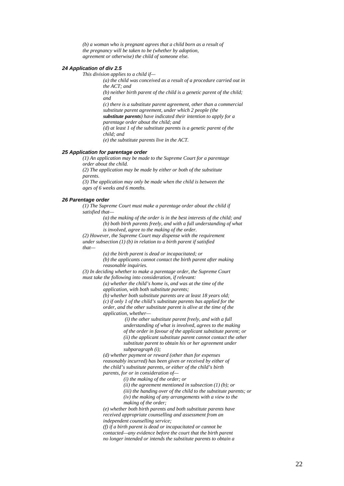*(b) a woman who is pregnant agrees that a child born as a result of the pregnancy will be taken to be (whether by adoption, agreement or otherwise) the child of someone else.* 

#### *24 Application of div 2.5*

*This division applies to a child if—* 

*(a) the child was conceived as a result of a procedure carried out in the ACT; and (b) neither birth parent of the child is a genetic parent of the child; and (c) there is a substitute parent agreement, other than a commercial substitute parent agreement, under which 2 people (the substitute parents) have indicated their intention to apply for a parentage order about the child; and (d) at least 1 of the substitute parents is a genetic parent of the child; and (e) the substitute parents live in the ACT.* 

#### *25 Application for parentage order*

*(1) An application may be made to the Supreme Court for a parentage order about the child.* 

*(2) The application may be made by either or both of the substitute parents.* 

*(3) The application may only be made when the child is between the ages of 6 weeks and 6 months.* 

#### *26 Parentage order*

*(1) The Supreme Court must make a parentage order about the child if satisfied that—* 

*(a) the making of the order is in the best interests of the child; and (b) both birth parents freely, and with a full understanding of what is involved, agree to the making of the order.* 

*(2) However, the Supreme Court may dispense with the requirement under subsection (1) (b) in relation to a birth parent if satisfied that—* 

*(a) the birth parent is dead or incapacitated; or* 

*(b) the applicants cannot contact the birth parent after making reasonable inquiries.* 

*(3) In deciding whether to make a parentage order, the Supreme Court must take the following into consideration, if relevant:* 

> *(a) whether the child's home is, and was at the time of the application, with both substitute parents;*

*(b) whether both substitute parents are at least 18 years old; (c) if only 1 of the child's substitute parents has applied for the order, and the other substitute parent is alive at the time of the application, whether—* 

 *(i) the other substitute parent freely, and with a full understanding of what is involved, agrees to the making of the order in favour of the applicant substitute parent; or (ii) the applicant substitute parent cannot contact the other substitute parent to obtain his or her agreement under subparagraph (i);* 

*(d) whether payment or reward (other than for expenses reasonably incurred) has been given or received by either of the child's substitute parents, or either of the child's birth parents, for or in consideration of—* 

*(i) the making of the order; or* 

*(ii) the agreement mentioned in subsection (1) (b); or* 

*(iii) the handing over of the child to the substitute parents; or* 

*(iv) the making of any arrangements with a view to the making of the order;* 

*(e) whether both birth parents and both substitute parents have received appropriate counselling and assessment from an independent counselling service;* 

*(f) if a birth parent is dead or incapacitated or cannot be contacted—any evidence before the court that the birth parent no longer intended or intends the substitute parents to obtain a*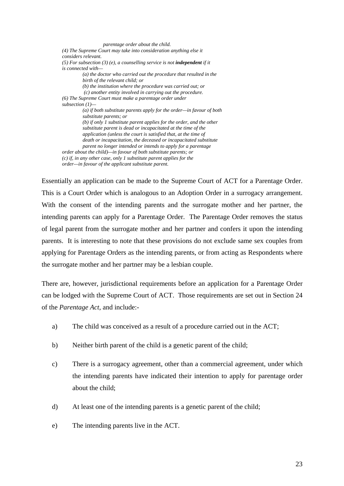*parentage order about the child. (4) The Supreme Court may take into consideration anything else it considers relevant.*   $(5)$  For subsection  $(3)$  (e), a counselling service is not **independent** if it *is connected with— (a) the doctor who carried out the procedure that resulted in the birth of the relevant child; or (b) the institution where the procedure was carried out; or (c) another entity involved in carrying out the procedure. (6) The Supreme Court must make a parentage order under subsection (1)— (a) if both substitute parents apply for the order—in favour of both substitute parents; or (b) if only 1 substitute parent applies for the order, and the other substitute parent is dead or incapacitated at the time of the application (unless the court is satisfied that, at the time of death or incapacitation, the deceased or incapacitated substitute parent no longer intended or intends to apply for a parentage order about the child)—in favour of both substitute parents; or (c) if, in any other case, only 1 substitute parent applies for the order—in favour of the applicant substitute parent.*

Essentially an application can be made to the Supreme Court of ACT for a Parentage Order. This is a Court Order which is analogous to an Adoption Order in a surrogacy arrangement. With the consent of the intending parents and the surrogate mother and her partner, the intending parents can apply for a Parentage Order. The Parentage Order removes the status of legal parent from the surrogate mother and her partner and confers it upon the intending parents. It is interesting to note that these provisions do not exclude same sex couples from applying for Parentage Orders as the intending parents, or from acting as Respondents where the surrogate mother and her partner may be a lesbian couple.

There are, however, jurisdictional requirements before an application for a Parentage Order can be lodged with the Supreme Court of ACT. Those requirements are set out in Section 24 of the *Parentage Act*, and include:-

- a) The child was conceived as a result of a procedure carried out in the ACT;
- b) Neither birth parent of the child is a genetic parent of the child;
- c) There is a surrogacy agreement, other than a commercial agreement, under which the intending parents have indicated their intention to apply for parentage order about the child;
- d) At least one of the intending parents is a genetic parent of the child;
- e) The intending parents live in the ACT.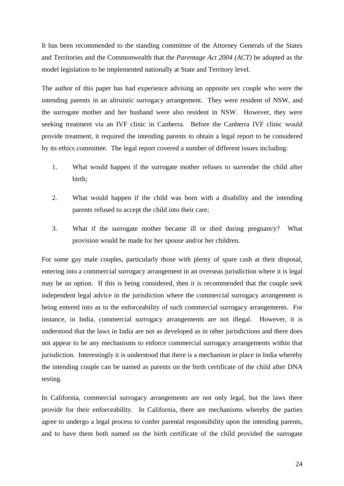It has been recommended to the standing committee of the Attorney Generals of the States and Territories and the Commonwealth that the *Parentage Act 2004 (ACT)* be adopted as the model legislation to be implemented nationally at State and Territory level.

The author of this paper has had experience advising an opposite sex couple who were the intending parents in an altruistic surrogacy arrangement. They were resident of NSW, and the surrogate mother and her husband were also resident in NSW. However, they were seeking treatment via an IVF clinic in Canberra. Before the Canberra IVF clinic would provide treatment, it required the intending parents to obtain a legal report to be considered by its ethics committee. The legal report covered a number of different issues including:

- 1. What would happen if the surrogate mother refuses to surrender the child after birth;
- 2. What would happen if the child was born with a disability and the intending parents refused to accept the child into their care;
- 3. What if the surrogate mother became ill or died during pregnancy? What provision would be made for her spouse and/or her children.

For some gay male couples, particularly those with plenty of spare cash at their disposal, entering into a commercial surrogacy arrangement in an overseas jurisdiction where it is legal may be an option. If this is being considered, then it is recommended that the couple seek independent legal advice in the jurisdiction where the commercial surrogacy arrangement is being entered into as to the enforceability of such commercial surrogacy arrangements. For instance, in India, commercial surrogacy arrangements are not illegal. However, it is understood that the laws in India are not as developed as in other jurisdictions and there does not appear to be any mechanisms to enforce commercial surrogacy arrangements within that jurisdiction. Interestingly it is understood that there is a mechanism in place in India whereby the intending couple can be named as parents on the birth certificate of the child after DNA testing.

In California, commercial surrogacy arrangements are not only legal, but the laws there provide for their enforceability. In California, there are mechanisms whereby the parties agree to undergo a legal process to confer parental responsibility upon the intending parents, and to have them both named on the birth certificate of the child provided the surrogate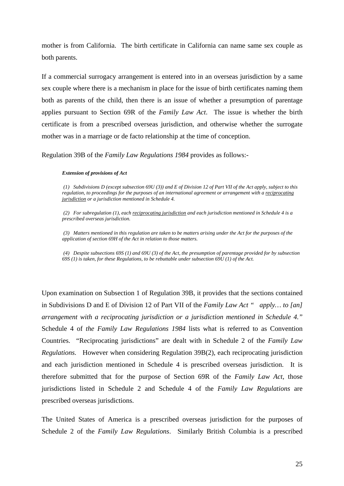mother is from California. The birth certificate in California can name same sex couple as both parents.

If a commercial surrogacy arrangement is entered into in an overseas jurisdiction by a same sex couple where there is a mechanism in place for the issue of birth certificates naming them both as parents of the child, then there is an issue of whether a presumption of parentage applies pursuant to Section 69R of the *Family Law Act*. The issue is whether the birth certificate is from a prescribed overseas jurisdiction, and otherwise whether the surrogate mother was in a marriage or de facto relationship at the time of conception.

Regulation 39B of the *Family Law Regulations 1984* provides as follows:-

#### *Extension of provisions of Act*

*(1) Subdivisions D (except subsection 69U (3)) and E of Division 12 of Part VII of the Act apply, subject to this regulation, to proceedings for the purposes of an international agreement or arrangement with a reciprocating jurisdiction or a jurisdiction mentioned in Schedule 4.* 

*(2) For subregulation (1), each reciprocating jurisdiction and each jurisdiction mentioned in Schedule 4 is a prescribed overseas jurisdiction.* 

*(3) Matters mentioned in this regulation are taken to be matters arising under the Act for the purposes of the application of section 69H of the Act in relation to those matters.* 

*(4) Despite subsections 69S (1) and 69U (3) of the Act, the presumption of parentage provided for by subsection 69S (1) is taken, for these Regulations, to be rebuttable under subsection 69U (1) of the Act.* 

Upon examination on Subsection 1 of Regulation 39B, it provides that the sections contained in Subdivisions D and E of Division 12 of Part VII of the *Family Law Act " apply… to [an] arrangement with a reciprocating jurisdiction or a jurisdiction mentioned in Schedule 4."* Schedule 4 of *the Family Law Regulations 1984* lists what is referred to as Convention Countries. "Reciprocating jurisdictions" are dealt with in Schedule 2 of the *Family Law Regulations.* However when considering Regulation 39B(2), each reciprocating jurisdiction and each jurisdiction mentioned in Schedule 4 is prescribed overseas jurisdiction. It is therefore submitted that for the purpose of Section 69R of the *Family Law Act*, those jurisdictions listed in Schedule 2 and Schedule 4 of the *Family Law Regulations* are prescribed overseas jurisdictions.

The United States of America is a prescribed overseas jurisdiction for the purposes of Schedule 2 of the *Family Law Regulations*. Similarly British Columbia is a prescribed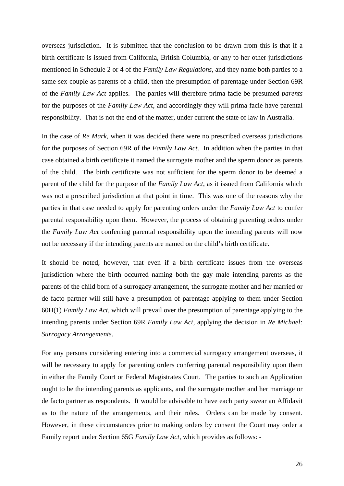overseas jurisdiction. It is submitted that the conclusion to be drawn from this is that if a birth certificate is issued from California, British Columbia, or any to her other jurisdictions mentioned in Schedule 2 or 4 of the *Family Law Regulations*, and they name both parties to a same sex couple as parents of a child, then the presumption of parentage under Section 69R of the *Family Law Act* applies. The parties will therefore prima facie be presumed *parents* for the purposes of the *Family Law Act*, and accordingly they will prima facie have parental responsibility. That is not the end of the matter, under current the state of law in Australia.

In the case of *Re Mark*, when it was decided there were no prescribed overseas jurisdictions for the purposes of Section 69R of the *Family Law Act*. In addition when the parties in that case obtained a birth certificate it named the surrogate mother and the sperm donor as parents of the child. The birth certificate was not sufficient for the sperm donor to be deemed a parent of the child for the purpose of the *Family Law Act*, as it issued from California which was not a prescribed jurisdiction at that point in time. This was one of the reasons why the parties in that case needed to apply for parenting orders under the *Family Law Act* to confer parental responsibility upon them. However, the process of obtaining parenting orders under the *Family Law Act* conferring parental responsibility upon the intending parents will now not be necessary if the intending parents are named on the child's birth certificate.

It should be noted, however, that even if a birth certificate issues from the overseas jurisdiction where the birth occurred naming both the gay male intending parents as the parents of the child born of a surrogacy arrangement, the surrogate mother and her married or de facto partner will still have a presumption of parentage applying to them under Section 60H(1) *Family Law Act*, which will prevail over the presumption of parentage applying to the intending parents under Section 69R *Family Law Act*, applying the decision in *Re Michael: Surrogacy Arrangements*.

For any persons considering entering into a commercial surrogacy arrangement overseas, it will be necessary to apply for parenting orders conferring parental responsibility upon them in either the Family Court or Federal Magistrates Court. The parties to such an Application ought to be the intending parents as applicants, and the surrogate mother and her marriage or de facto partner as respondents. It would be advisable to have each party swear an Affidavit as to the nature of the arrangements, and their roles. Orders can be made by consent. However, in these circumstances prior to making orders by consent the Court may order a Family report under Section 65G *Family Law Act*, which provides as follows: -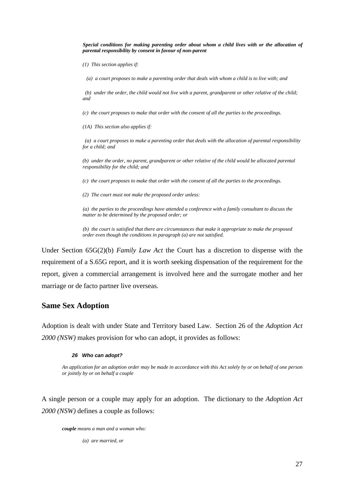*Special conditions for making parenting order about whom a child lives with or the allocation of parental responsibility by consent in favour of non-parent* 

 *(1) This section applies if:* 

 *(a) a court proposes to make a parenting order that deals with whom a child is to live with; and* 

 *(b) under the order, the child would not live with a parent, grandparent or other relative of the child; and* 

 *(c) the court proposes to make that order with the consent of all the parties to the proceedings.* 

 *(1A) This section also applies if:* 

*(a) a court proposes to make a parenting order that deals with the allocation of parental responsibility for a child; and* 

 *(b) under the order, no parent, grandparent or other relative of the child would be allocated parental responsibility for the child; and* 

 *(c) the court proposes to make that order with the consent of all the parties to the proceedings.* 

 *(2) The court must not make the proposed order unless:* 

*(a) the parties to the proceedings have attended a conference with a family consultant to discuss the matter to be determined by the proposed order; or* 

*(b) the court is satisfied that there are circumstances that make it appropriate to make the proposed order even though the conditions in paragraph (a) are not satisfied.*

Under Section 65G(2)(b) *Family Law Act* the Court has a discretion to dispense with the requirement of a S.65G report, and it is worth seeking dispensation of the requirement for the report, given a commercial arrangement is involved here and the surrogate mother and her marriage or de facto partner live overseas.

#### **Same Sex Adoption**

Adoption is dealt with under State and Territory based Law. Section 26 of the *Adoption Act 2000 (NSW)* makes provision for who can adopt, it provides as follows:

#### *26 Who can adopt?*

*An application for an adoption order may be made in accordance with this Act solely by or on behalf of one person or jointly by or on behalf a couple* 

A single person or a couple may apply for an adoption. The dictionary to the *Adoption Act 2000 (NSW)* defines a couple as follows:

*couple means a man and a woman who:* 

*(a) are married, or*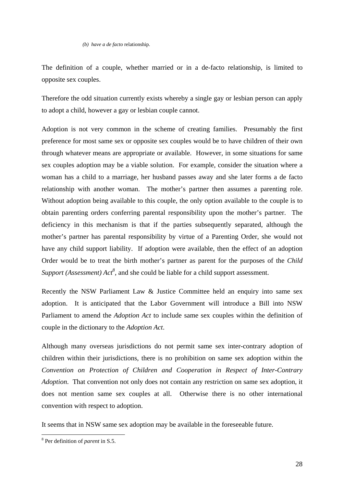*(b) have a de facto* relationship.

The definition of a couple, whether married or in a de-facto relationship, is limited to opposite sex couples.

Therefore the odd situation currently exists whereby a single gay or lesbian person can apply to adopt a child, however a gay or lesbian couple cannot.

Adoption is not very common in the scheme of creating families. Presumably the first preference for most same sex or opposite sex couples would be to have children of their own through whatever means are appropriate or available. However, in some situations for same sex couples adoption may be a viable solution. For example, consider the situation where a woman has a child to a marriage, her husband passes away and she later forms a de facto relationship with another woman. The mother's partner then assumes a parenting role. Without adoption being available to this couple, the only option available to the couple is to obtain parenting orders conferring parental responsibility upon the mother's partner. The deficiency in this mechanism is that if the parties subsequently separated, although the mother's partner has parental responsibility by virtue of a Parenting Order, she would not have any child support liability. If adoption were available, then the effect of an adoption Order would be to treat the birth mother's partner as parent for the purposes of the *Child Support (Assessment)*  $Act^8$ , and she could be liable for a child support assessment.

Recently the NSW Parliament Law & Justice Committee held an enquiry into same sex adoption. It is anticipated that the Labor Government will introduce a Bill into NSW Parliament to amend the *Adoption Act* to include same sex couples within the definition of couple in the dictionary to the *Adoption Act*.

Although many overseas jurisdictions do not permit same sex inter-contrary adoption of children within their jurisdictions, there is no prohibition on same sex adoption within the *Convention on Protection of Children and Cooperation in Respect of Inter-Contrary Adoption*. That convention not only does not contain any restriction on same sex adoption, it does not mention same sex couples at all. Otherwise there is no other international convention with respect to adoption.

It seems that in NSW same sex adoption may be available in the foreseeable future.

 8 Per definition of *parent* in S.5.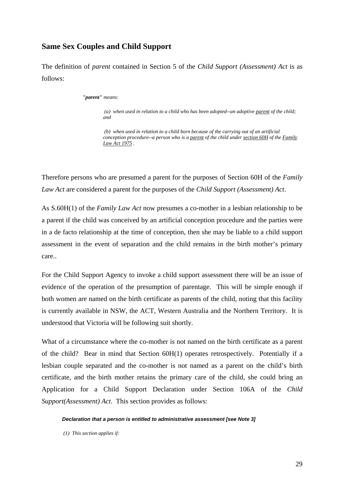#### **Same Sex Couples and Child Support**

The definition of *parent* contained in Section 5 of the *Child Support (Assessment) Act* is as follows:

#### *"parent" means:*

*(a) when used in relation to a child who has been adopted--an adoptive parent of the child; and* 

*(b) when used in relation to a child born because of the carrying out of an artificial conception procedure--a person who is a parent of the child under section 60H of the Family Law Act 1975 .* 

Therefore persons who are presumed a parent for the purposes of Section 60H of the *Family Law Act* are considered a parent for the purposes of the *Child Support (Assessment) Act*.

As S.60H(1) of the *Family Law Act* now presumes a co-mother in a lesbian relationship to be a parent if the child was conceived by an artificial conception procedure and the parties were in a de facto relationship at the time of conception, then she may be liable to a child support assessment in the event of separation and the child remains in the birth mother's primary care..

For the Child Support Agency to invoke a child support assessment there will be an issue of evidence of the operation of the presumption of parentage. This will be simple enough if both women are named on the birth certificate as parents of the child, noting that this facility is currently available in NSW, the ACT, Western Australia and the Northern Territory. It is understood that Victoria will be following suit shortly.

What of a circumstance where the co-mother is not named on the birth certificate as a parent of the child? Bear in mind that Section 60H(1) operates retrospectively. Potentially if a lesbian couple separated and the co-mother is not named as a parent on the child's birth certificate, and the birth mother retains the primary care of the child, she could bring an Application for a Child Support Declaration under Section 106A of the *Child Support(Assessment) Act*. This section provides as follows:

#### *Declaration that a person is entitled to administrative assessment [see Note 3]*

 *(1) This section applies if:*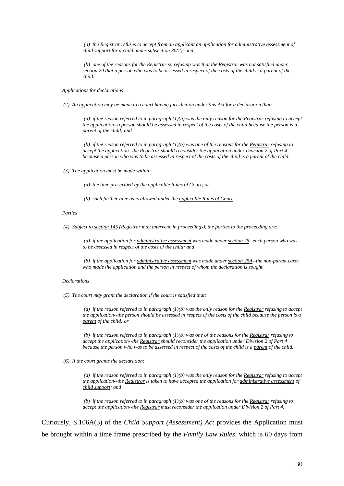*(a) the Registrar refuses to accept from an applicant an application for administrative assessment of child support for a child under subsection 30(2); and* 

*(b) one of the reasons for the Registrar so refusing was that the Registrar was not satisfied under section 29 that a person who was to be assessed in respect of the costs of the child is a parent of the child.* 

*Applications for declarations* 

 *(2) An application may be made to a court having jurisdiction under this Act for a declaration that:* 

 *(a) if the reason referred to in paragraph (1)(b) was the only reason for the Registrar refusing to accept the application--a person should be assessed in respect of the costs of the child because the person is a parent of the child; and* 

*(b) if the reason referred to in paragraph (1)(b) was one of the reasons for the Registrar refusing to accept the application--the Registrar should reconsider the application under Division 2 of Part 4 because a person who was to be assessed in respect of the costs of the child is a parent of the child.* 

 *(3) The application must be made within:* 

 *(a) the time prescribed by the applicable Rules of Court; or* 

 *(b) such further time as is allowed under the applicable Rules of Court.* 

#### *Parties*

 *(4) Subject to section 145 (Registrar may intervene in proceedings), the parties to the proceeding are:* 

 *(a) if the application for administrative assessment was made under section 25--each person who was to be assessed in respect of the costs of the child; and* 

*(b) if the application for administrative assessment was made under section 25A--the non-parent carer who made the application and the person in respect of whom the declaration is sought.* 

#### *Declarations*

 *(5) The court may grant the declaration if the court is satisfied that:* 

 *(a) if the reason referred to in paragraph (1)(b) was the only reason for the Registrar refusing to accept the application--the person should be assessed in respect of the costs of the child because the person is a parent of the child; or* 

*(b) if the reason referred to in paragraph (1)(b) was one of the reasons for the Registrar refusing to accept the application--the Registrar should reconsider the application under Division 2 of Part 4 because the person who was to be assessed in respect of the costs of the child is a parent of the child.* 

 *(6) If the court grants the declaration:* 

 *(a) if the reason referred to in paragraph (1)(b) was the only reason for the Registrar refusing to accept the application--the Registrar is taken to have accepted the application for administrative assessment of child support; and* 

*(b) if the reason referred to in paragraph (1)(b) was one of the reasons for the Registrar refusing to accept the application--the Registrar must reconsider the application under Division 2 of Part 4.* 

Curiously, S.106A(3) of the *Child Support (Assessment) Act* provides the Application must be brought within a time frame prescribed by the *Family Law Rules,* which is 60 days from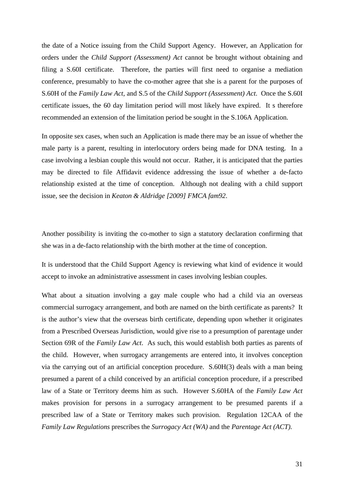the date of a Notice issuing from the Child Support Agency. However, an Application for orders under the *Child Support (Assessment) Act* cannot be brought without obtaining and filing a S.60I certificate. Therefore, the parties will first need to organise a mediation conference, presumably to have the co-mother agree that she is a parent for the purposes of S.60H of the *Family Law Act*, and S.5 of the *Child Support (Assessment) Act*. Once the S.60I certificate issues, the 60 day limitation period will most likely have expired. It s therefore recommended an extension of the limitation period be sought in the S.106A Application.

In opposite sex cases, when such an Application is made there may be an issue of whether the male party is a parent, resulting in interlocutory orders being made for DNA testing. In a case involving a lesbian couple this would not occur. Rather, it is anticipated that the parties may be directed to file Affidavit evidence addressing the issue of whether a de-facto relationship existed at the time of conception. Although not dealing with a child support issue, see the decision in *Keaton & Aldridge [2009] FMCA fam92*.

Another possibility is inviting the co-mother to sign a statutory declaration confirming that she was in a de-facto relationship with the birth mother at the time of conception.

It is understood that the Child Support Agency is reviewing what kind of evidence it would accept to invoke an administrative assessment in cases involving lesbian couples.

What about a situation involving a gay male couple who had a child via an overseas commercial surrogacy arrangement, and both are named on the birth certificate as parents? It is the author's view that the overseas birth certificate, depending upon whether it originates from a Prescribed Overseas Jurisdiction, would give rise to a presumption of parentage under Section 69R of the *Family Law Act*. As such, this would establish both parties as parents of the child. However, when surrogacy arrangements are entered into, it involves conception via the carrying out of an artificial conception procedure. S.60H(3) deals with a man being presumed a parent of a child conceived by an artificial conception procedure, if a prescribed law of a State or Territory deems him as such. However S.60HA of the *Family Law Act*  makes provision for persons in a surrogacy arrangement to be presumed parents if a prescribed law of a State or Territory makes such provision. Regulation 12CAA of the *Family Law Regulations* prescribes the *Surrogacy Act (WA)* and the *Parentage Act (ACT).*